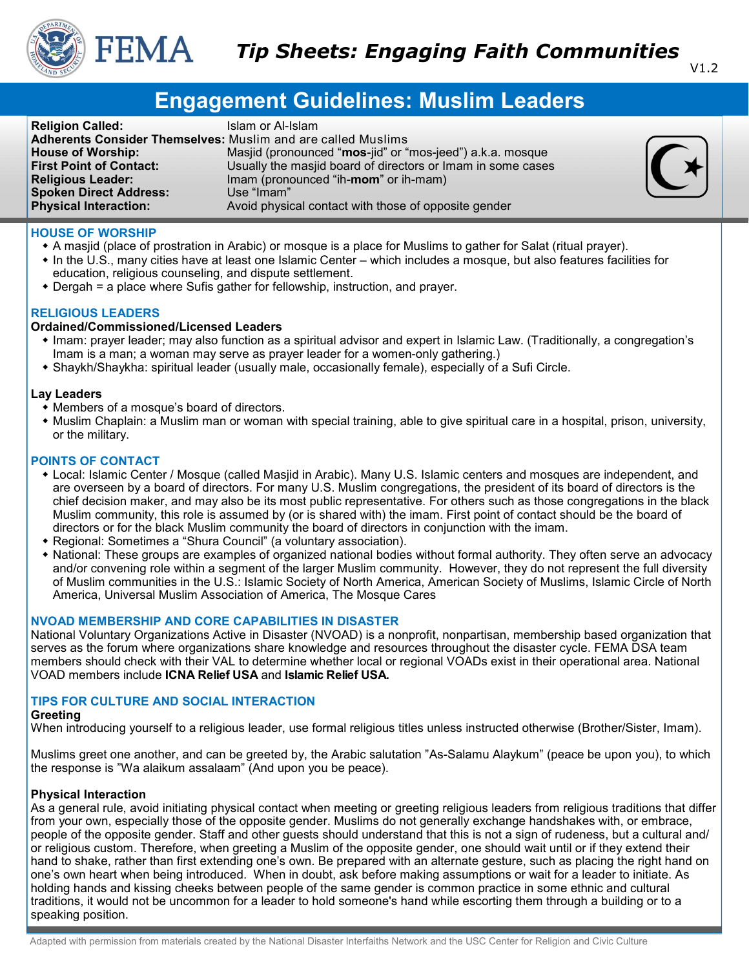

V1.2

# **Engagement Guidelines: Muslim Leaders**

**Religion Called: ISLAM** Islam or Al-Islam **Adherents Consider Themselves:** Muslim and are called Muslims **House of Worship:** Masjid (pronounced "**mos**-jid" or "mos-jeed") a.k.a. mosque **First Point of Contact:** Usually the masjid board of directors or Imam in some cases **Religious Leader:** Imam (pronounced "ih-**mom**" or ih-mam) Imam (pronounced "ih-**mom**" or ih-mam)<br>Use "Imam" **Spoken Direct Address: Physical Interaction:** Avoid physical contact with those of opposite gender

# **HOUSE OF WORSHIP**

- A masjid (place of prostration in Arabic) or mosque is a place for Muslims to gather for Salat (ritual prayer).
- In the U.S., many cities have at least one Islamic Center which includes a mosque, but also features facilities for education, religious counseling, and dispute settlement.
- Dergah = a place where Sufis gather for fellowship, instruction, and prayer.

# **RELIGIOUS LEADERS**

# **Ordained/Commissioned/Licensed Leaders**

- Imam: prayer leader; may also function as a spiritual advisor and expert in Islamic Law. (Traditionally, a congregation's Imam is a man; a woman may serve as prayer leader for a women-only gathering.)
- Shaykh/Shaykha: spiritual leader (usually male, occasionally female), especially of a Sufi Circle.

## **Lay Leaders**

- Members of a mosque's board of directors.
- Muslim Chaplain: a Muslim man or woman with special training, able to give spiritual care in a hospital, prison, university, or the military.

# **POINTS OF CONTACT**

- Local: Islamic Center / Mosque (called Masjid in Arabic). Many U.S. Islamic centers and mosques are independent, and are overseen by a board of directors. For many U.S. Muslim congregations, the president of its board of directors is the chief decision maker, and may also be its most public representative. For others such as those congregations in the black Muslim community, this role is assumed by (or is shared with) the imam. First point of contact should be the board of directors or for the black Muslim community the board of directors in conjunction with the imam.
- Regional: Sometimes a "Shura Council" (a voluntary association).
- National: These groups are examples of organized national bodies without formal authority. They often serve an advocacy and/or convening role within a segment of the larger Muslim community. However, they do not represent the full diversity of Muslim communities in the U.S.: Islamic Society of North America, American Society of Muslims, Islamic Circle of North America, Universal Muslim Association of America, The Mosque Cares

# **NVOAD MEMBERSHIP AND CORE CAPABILITIES IN DISASTER**

National Voluntary Organizations Active in Disaster (NVOAD) is a nonprofit, nonpartisan, membership based organization that serves as the forum where organizations share knowledge and resources throughout the disaster cycle. FEMA DSA team members should check with their VAL to determine whether local or regional VOADs exist in their operational area. National VOAD members include **ICNA Relief USA** and **Islamic Relief USA.**

## **TIPS FOR CULTURE AND SOCIAL INTERACTION**

## **Greeting**

When introducing yourself to a religious leader, use formal religious titles unless instructed otherwise (Brother/Sister, Imam).

Muslims greet one another, and can be greeted by, the Arabic salutation "As-Salamu Alaykum" (peace be upon you), to which the response is "Wa alaikum assalaam" (And upon you be peace).

## **Physical Interaction**

As a general rule, avoid initiating physical contact when meeting or greeting religious leaders from religious traditions that differ from your own, especially those of the opposite gender. Muslims do not generally exchange handshakes with, or embrace, people of the opposite gender. Staff and other guests should understand that this is not a sign of rudeness, but a cultural and/ or religious custom. Therefore, when greeting a Muslim of the opposite gender, one should wait until or if they extend their hand to shake, rather than first extending one's own. Be prepared with an alternate gesture, such as placing the right hand on one's own heart when being introduced. When in doubt, ask before making assumptions or wait for a leader to initiate. As holding hands and kissing cheeks between people of the same gender is common practice in some ethnic and cultural traditions, it would not be uncommon for a leader to hold someone's hand while escorting them through a building or to a speaking position.